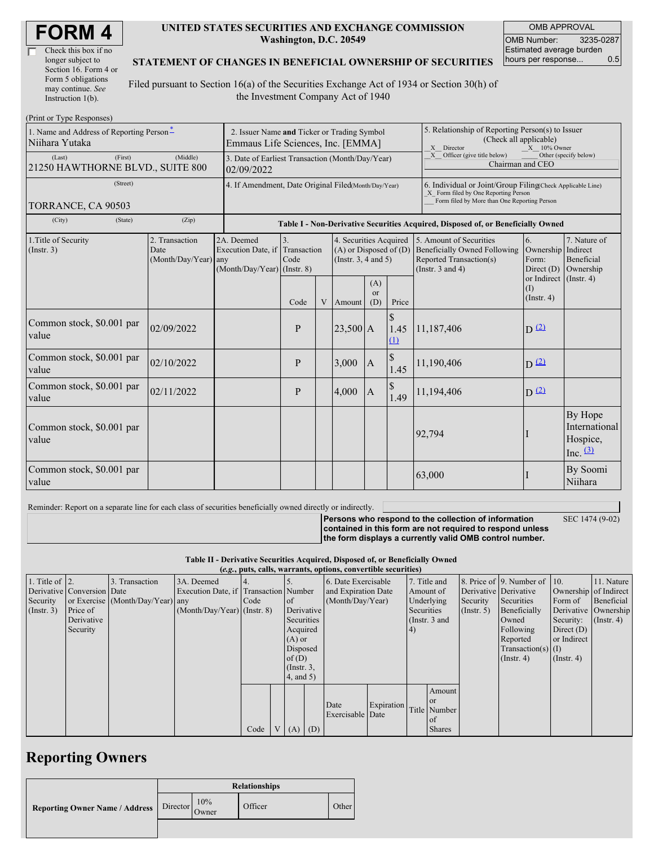| <b>FORM4</b> |
|--------------|
|--------------|

| Check this box if no  |
|-----------------------|
| longer subject to     |
| Section 16. Form 4 or |
| Form 5 obligations    |
| may continue. See     |
| Instruction $1(b)$ .  |

#### **UNITED STATES SECURITIES AND EXCHANGE COMMISSION Washington, D.C. 20549**

OMB APPROVAL OMB Number: 3235-0287 Estimated average burden hours per response... 0.5

### **STATEMENT OF CHANGES IN BENEFICIAL OWNERSHIP OF SECURITIES**

Filed pursuant to Section 16(a) of the Securities Exchange Act of 1934 or Section 30(h) of the Investment Company Act of 1940

| (Print or Type Responses)                                  |                                                                                           |                                                                               |              |   |                                                                                  |                                                                             |                                                                                                                                                    |                                                                                                                    |                                          |                                                     |  |
|------------------------------------------------------------|-------------------------------------------------------------------------------------------|-------------------------------------------------------------------------------|--------------|---|----------------------------------------------------------------------------------|-----------------------------------------------------------------------------|----------------------------------------------------------------------------------------------------------------------------------------------------|--------------------------------------------------------------------------------------------------------------------|------------------------------------------|-----------------------------------------------------|--|
| 1. Name and Address of Reporting Person-<br>Niihara Yutaka | 2. Issuer Name and Ticker or Trading Symbol<br>Emmaus Life Sciences, Inc. [EMMA]          |                                                                               |              |   |                                                                                  |                                                                             | 5. Relationship of Reporting Person(s) to Issuer<br>(Check all applicable)<br>X Director<br>$X = 10\%$ Owner                                       |                                                                                                                    |                                          |                                                     |  |
| (Last)<br>(First)<br>21250 HAWTHORNE BLVD., SUITE 800      | 3. Date of Earliest Transaction (Month/Day/Year)<br>02/09/2022                            |                                                                               |              |   |                                                                                  | $X$ Officer (give title below)<br>Other (specify below)<br>Chairman and CEO |                                                                                                                                                    |                                                                                                                    |                                          |                                                     |  |
| (Street)<br>TORRANCE, CA 90503                             | 4. If Amendment, Date Original Filed(Month/Day/Year)                                      |                                                                               |              |   |                                                                                  |                                                                             | 6. Individual or Joint/Group Filing(Check Applicable Line)<br>X Form filed by One Reporting Person<br>Form filed by More than One Reporting Person |                                                                                                                    |                                          |                                                     |  |
| (City)<br>(State)                                          | (Zip)<br>Table I - Non-Derivative Securities Acquired, Disposed of, or Beneficially Owned |                                                                               |              |   |                                                                                  |                                                                             |                                                                                                                                                    |                                                                                                                    |                                          |                                                     |  |
| 1. Title of Security<br>$($ Instr. 3 $)$                   | 2. Transaction<br>Date<br>(Month/Day/Year) any                                            | 2A. Deemed<br>Execution Date, if Transaction<br>$(Month/Day/Year)$ (Instr. 8) | 3.<br>Code   |   | 4. Securities Acquired<br>$(A)$ or Disposed of $(D)$<br>(Instr. $3, 4$ and $5$ ) |                                                                             |                                                                                                                                                    | 5. Amount of Securities<br><b>Beneficially Owned Following</b><br>Reported Transaction(s)<br>(Instr. $3$ and $4$ ) | 6.<br>Ownership<br>Form:<br>Direct $(D)$ | 7. Nature of<br>Indirect<br>Beneficial<br>Ownership |  |
|                                                            |                                                                                           |                                                                               | Code         | V | Amount                                                                           | (A)<br><sub>or</sub><br>(D)                                                 | Price                                                                                                                                              |                                                                                                                    | (I)<br>$($ Instr. 4 $)$                  | or Indirect (Instr. 4)                              |  |
| Common stock, \$0.001 par<br>value                         | 02/09/2022                                                                                |                                                                               | P            |   | $ 23,500 $ A                                                                     |                                                                             | 1.45<br>(1)                                                                                                                                        | 11,187,406                                                                                                         | $D^{(2)}$                                |                                                     |  |
| Common stock, \$0.001 par<br>value                         | 02/10/2022                                                                                |                                                                               | P            |   | 3,000                                                                            | $\overline{A}$                                                              | 1.45                                                                                                                                               | 11,190,406                                                                                                         | D(2)                                     |                                                     |  |
| Common stock, \$0.001 par<br>value                         | 02/11/2022                                                                                |                                                                               | $\mathbf{P}$ |   | 4,000                                                                            | $\mathbb{S}$<br>$\vert A$<br>1.49                                           |                                                                                                                                                    | 11,194,406                                                                                                         | $D^{(2)}$                                |                                                     |  |
| Common stock, \$0.001 par<br>value                         |                                                                                           |                                                                               |              |   |                                                                                  |                                                                             |                                                                                                                                                    | 92,794                                                                                                             |                                          | By Hope<br>International<br>Hospice,<br>Inc. $(3)$  |  |
| Common stock, \$0.001 par<br>value                         |                                                                                           |                                                                               |              |   |                                                                                  |                                                                             |                                                                                                                                                    | 63,000                                                                                                             |                                          | By Soomi<br>Niihara                                 |  |

Reminder: Report on a separate line for each class of securities beneficially owned directly or indirectly.

**Persons who respond to the collection of information contained in this form are not required to respond unless the form displays a currently valid OMB control number.** SEC 1474 (9-02)

**Table II - Derivative Securities Acquired, Disposed of, or Beneficially Owned**

|  |  |                                                                 |  | able 11 - Derivative Securities Acquired, Disposed 01, or Beneficially Own |
|--|--|-----------------------------------------------------------------|--|----------------------------------------------------------------------------|
|  |  | <i>(e a puts calls warrants ontions convertible securities)</i> |  |                                                                            |

|                        | (e.g., puts, calls, warrants, options, convertible securities) |                                  |                                       |      |              |                 |                     |                     |            |               |               |                       |                              |                  |                      |
|------------------------|----------------------------------------------------------------|----------------------------------|---------------------------------------|------|--------------|-----------------|---------------------|---------------------|------------|---------------|---------------|-----------------------|------------------------------|------------------|----------------------|
| 1. Title of $\vert$ 2. |                                                                | 3. Transaction                   | 3A. Deemed                            |      |              |                 |                     | 6. Date Exercisable |            |               | 7. Title and  |                       | 8. Price of 9. Number of 10. |                  | 11. Nature           |
|                        | Derivative Conversion Date                                     |                                  | Execution Date, if Transaction Number |      |              |                 | and Expiration Date |                     | Amount of  |               |               | Derivative Derivative | Ownership of Indirect        |                  |                      |
| Security               |                                                                | or Exercise (Month/Day/Year) any |                                       | Code |              | $\circ$ f       | (Month/Day/Year)    |                     |            | Underlying    | Security      | Securities            | Form of                      | Beneficial       |                      |
| $($ Instr. 3 $)$       | Price of                                                       |                                  | $(Month/Day/Year)$ (Instr. 8)         |      |              | Derivative      |                     |                     |            | Securities    |               | $($ Instr. 5 $)$      | Beneficially                 |                  | Derivative Ownership |
|                        | Derivative                                                     |                                  |                                       |      |              | Securities      |                     |                     |            | (Instr. 3 and |               |                       | Owned                        | Security:        | $($ Instr. 4 $)$     |
|                        | Security                                                       |                                  |                                       |      |              | Acquired        |                     |                     |            | (4)           |               |                       | Following                    | Direct $(D)$     |                      |
|                        |                                                                |                                  |                                       |      |              | $(A)$ or        |                     |                     |            |               |               | Reported              | or Indirect                  |                  |                      |
|                        |                                                                |                                  |                                       |      |              |                 | Disposed            |                     |            |               |               | $Transaction(s)$ (I)  |                              |                  |                      |
|                        |                                                                |                                  |                                       |      |              | of $(D)$        |                     |                     |            |               |               |                       | $($ Instr. 4 $)$             | $($ Instr. 4 $)$ |                      |
|                        |                                                                |                                  |                                       |      |              | $($ Instr. $3,$ |                     |                     |            |               |               |                       |                              |                  |                      |
|                        |                                                                |                                  |                                       |      |              | 4, and 5)       |                     |                     |            |               |               |                       |                              |                  |                      |
|                        |                                                                |                                  |                                       |      |              |                 |                     |                     |            |               | Amount        |                       |                              |                  |                      |
|                        |                                                                |                                  |                                       |      |              |                 |                     |                     |            |               | <b>or</b>     |                       |                              |                  |                      |
|                        |                                                                |                                  |                                       |      |              |                 |                     | Date                | Expiration |               | Title Number  |                       |                              |                  |                      |
|                        |                                                                |                                  |                                       |      |              |                 |                     | Exercisable Date    |            |               | of            |                       |                              |                  |                      |
|                        |                                                                |                                  |                                       | Code | $\mathbf{V}$ | $(A)$ $(D)$     |                     |                     |            |               | <b>Shares</b> |                       |                              |                  |                      |

## **Reporting Owners**

|                                       | <b>Relationships</b> |              |         |       |  |  |
|---------------------------------------|----------------------|--------------|---------|-------|--|--|
| <b>Reporting Owner Name / Address</b> | Director             | 10%<br>Owner | Officer | Other |  |  |
|                                       |                      |              |         |       |  |  |